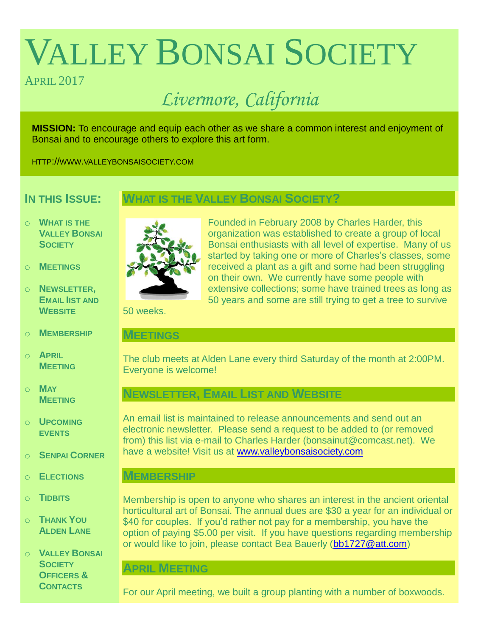# VALLEY BONSAI SOCIETY

# APRIL 2017

# *Livermore, California*

**MISSION:** To encourage and equip each other as we share a common interest and enjoyment of Bonsai and to encourage others to explore this art form.

HTTP://WWW.VALLEYBONSAISOCIETY.COM

# **IN THIS ISSUE:**

# **WHAT IS THE VALLEY BONSAI SOCIETY?**

- o **WHAT IS THE VALLEY BONSAI SOCIETY**
- o **MEETINGS**
- o **NEWSLETTER, EMAIL IIST AND WEBSITE**
- o **MEMBERSHIP**
- o **APRIL MEETING**
- o **MAY MEETING**
- o **UPCOMING EVENTS**
- o **SENPAI CORNER**
- o **ELECTIONS**
- o **TIDBITS**
- o **THANK YOU ALDEN LANE**
- o **VALLEY BONSAI SOCIETY OFFICERS & CONTACTS**



Founded in February 2008 by Charles Harder, this organization was established to create a group of local Bonsai enthusiasts with all level of expertise. Many of us started by taking one or more of Charles's classes, some received a plant as a gift and some had been struggling on their own. We currently have some people with extensive collections; some have trained trees as long as 50 years and some are still trying to get a tree to survive

50 weeks.

### **MEETINGS**

The club meets at Alden Lane every third Saturday of the month at 2:00PM. Everyone is welcome!

# **NEWSLETTER, EMAIL LIST AND WEBSITE**

An email list is maintained to release announcements and send out an electronic newsletter. Please send a request to be added to (or removed from) this list via e-mail to Charles Harder (bonsainut@comcast.net). We have a website! Visit us at [www.valleybonsaisociety.com](http://www.valleybonsaisociety.com/)

# **MEMBERSHIP**

Membership is open to anyone who shares an interest in the ancient oriental horticultural art of Bonsai. The annual dues are \$30 a year for an individual or \$40 for couples. If you'd rather not pay for a membership, you have the option of paying \$5.00 per visit. If you have questions regarding membership or would like to join, please contact Bea Bauerly [\(bb1727@att.com\)](mailto:bb1727@att.com)

# **APRIL MEETING**

For our April meeting, we built a group planting with a number of boxwoods.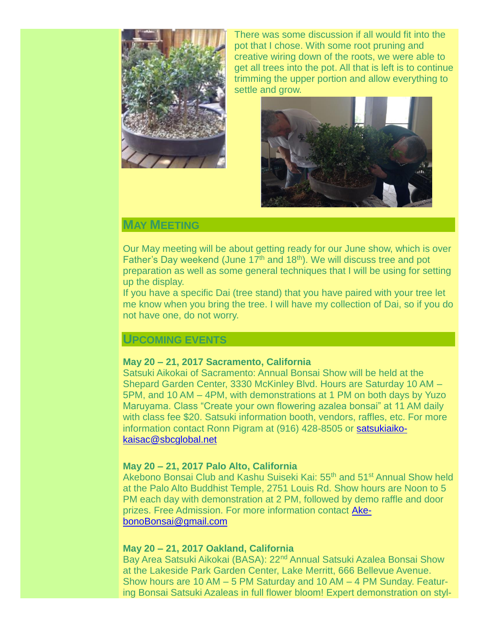

There was some discussion if all would fit into the pot that I chose. With some root pruning and creative wiring down of the roots, we were able to get all trees into the pot. All that is left is to continue trimming the upper portion and allow everything to settle and grow.



# **MAY MEETING**

Our May meeting will be about getting ready for our June show, which is over Father's Day weekend (June  $17<sup>th</sup>$  and  $18<sup>th</sup>$ ). We will discuss tree and pot preparation as well as some general techniques that I will be using for setting up the display.

If you have a specific Dai (tree stand) that you have paired with your tree let me know when you bring the tree. I will have my collection of Dai, so if you do not have one, do not worry.

# **UPCOMING EVENTS**

#### **May 20 – 21, 2017 Sacramento, California**

Satsuki Aikokai of Sacramento: Annual Bonsai Show will be held at the Shepard Garden Center, 3330 McKinley Blvd. Hours are Saturday 10 AM – 5PM, and 10 AM – 4PM, with demonstrations at 1 PM on both days by Yuzo Maruyama. Class "Create your own flowering azalea bonsai" at 11 AM daily with class fee \$20. Satsuki information booth, vendors, raffles, etc. For more information contact Ronn Pigram at (916) 428-8505 or [satsukiaiko](mailto:satsukiaikokaisac@sbcglobal.net)[kaisac@sbcglobal.net](mailto:satsukiaikokaisac@sbcglobal.net)

#### **May 20 – 21, 2017 Palo Alto, California**

Akebono Bonsai Club and Kashu Suiseki Kai: 55<sup>th</sup> and 51<sup>st</sup> Annual Show held at the Palo Alto Buddhist Temple, 2751 Louis Rd. Show hours are Noon to 5 PM each day with demonstration at 2 PM, followed by demo raffle and door prizes. Free Admission. For more information contact [Ake](mailto:AkebonoBonsai@gmail.com)[bonoBonsai@gmail.com](mailto:AkebonoBonsai@gmail.com)

#### **May 20 – 21, 2017 Oakland, California**

Bay Area Satsuki Aikokai (BASA): 22<sup>nd</sup> Annual Satsuki Azalea Bonsai Show at the Lakeside Park Garden Center, Lake Merritt, 666 Bellevue Avenue. Show hours are 10 AM – 5 PM Saturday and 10 AM – 4 PM Sunday. Featuring Bonsai Satsuki Azaleas in full flower bloom! Expert demonstration on styl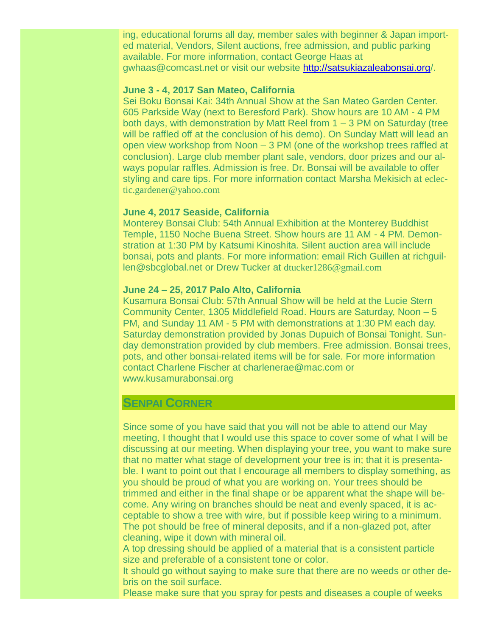ing, educational forums all day, member sales with beginner & Japan imported material, Vendors, Silent auctions, free admission, and public parking available. For more information, contact George Haas at gwhaas@comcast.net or visit our website<http://satsukiazaleabonsai.org/>.

#### **June 3 - 4, 2017 San Mateo, California**

Sei Boku Bonsai Kai: 34th Annual Show at the San Mateo Garden Center. 605 Parkside Way (next to Beresford Park). Show hours are 10 AM - 4 PM both days, with demonstration by Matt Reel from 1 – 3 PM on Saturday (tree will be raffled off at the conclusion of his demo). On Sunday Matt will lead an open view workshop from Noon – 3 PM (one of the workshop trees raffled at conclusion). Large club member plant sale, vendors, door prizes and our always popular raffles. Admission is free. Dr. Bonsai will be available to offer styling and care tips. For more information contact Marsha Mekisich at [eclec](mailto:eclectic.gardener@yahoo.com)[tic.gardener@yahoo.com](mailto:eclectic.gardener@yahoo.com)

#### **June 4, 2017 Seaside, California**

Monterey Bonsai Club: 54th Annual Exhibition at the Monterey Buddhist Temple, 1150 Noche Buena Street. Show hours are 11 AM - 4 PM. Demonstration at 1:30 PM by Katsumi Kinoshita. Silent auction area will include bonsai, pots and plants. For more information: email Rich Guillen at richguillen@sbcglobal.net or Drew Tucker at [dtucker1286@gmail.com](mailto:dtucker1286@gmail.com)

#### **June 24 – 25, 2017 Palo Alto, California**

Kusamura Bonsai Club: 57th Annual Show will be held at the Lucie Stern Community Center, 1305 Middlefield Road. Hours are Saturday, Noon – 5 PM, and Sunday 11 AM - 5 PM with demonstrations at 1:30 PM each day. Saturday demonstration provided by Jonas Dupuich of Bonsai Tonight. Sunday demonstration provided by club members. Free admission. Bonsai trees, pots, and other bonsai-related items will be for sale. For more information contact Charlene Fischer at charlenerae@mac.com or [www.kusamurabonsai.org](http://www.kusamurabonsai.org./)

#### **SENPAI CORNER**

Since some of you have said that you will not be able to attend our May meeting, I thought that I would use this space to cover some of what I will be discussing at our meeting. When displaying your tree, you want to make sure that no matter what stage of development your tree is in; that it is presentable. I want to point out that I encourage all members to display something, as you should be proud of what you are working on. Your trees should be trimmed and either in the final shape or be apparent what the shape will become. Any wiring on branches should be neat and evenly spaced, it is acceptable to show a tree with wire, but if possible keep wiring to a minimum. The pot should be free of mineral deposits, and if a non-glazed pot, after cleaning, wipe it down with mineral oil.

A top dressing should be applied of a material that is a consistent particle size and preferable of a consistent tone or color.

It should go without saying to make sure that there are no weeds or other debris on the soil surface.

Please make sure that you spray for pests and diseases a couple of weeks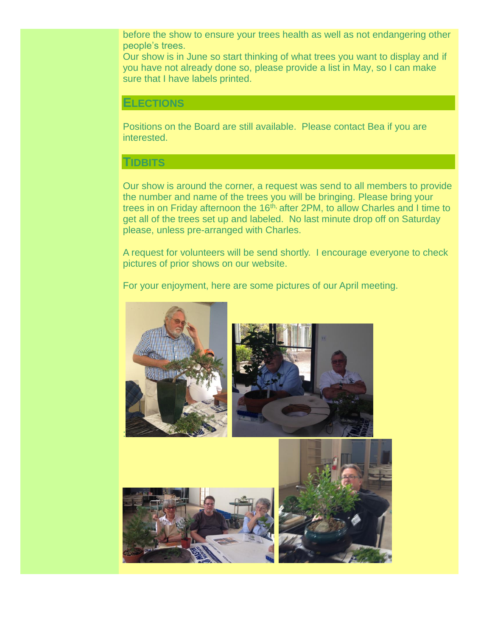before the show to ensure your trees health as well as not endangering other people's trees.

Our show is in June so start thinking of what trees you want to display and if you have not already done so, please provide a list in May, so I can make sure that I have labels printed.

#### **ELECTIONS**

Positions on the Board are still available. Please contact Bea if you are interested.

#### **TIDBITS**

Our show is around the corner, a request was send to all members to provide the number and name of the trees you will be bringing. Please bring your trees in on Friday afternoon the 16<sup>th,</sup> after 2PM, to allow Charles and I time to get all of the trees set up and labeled. No last minute drop off on Saturday please, unless pre-arranged with Charles.

A request for volunteers will be send shortly. I encourage everyone to check pictures of prior shows on our website.

For your enjoyment, here are some pictures of our April meeting.





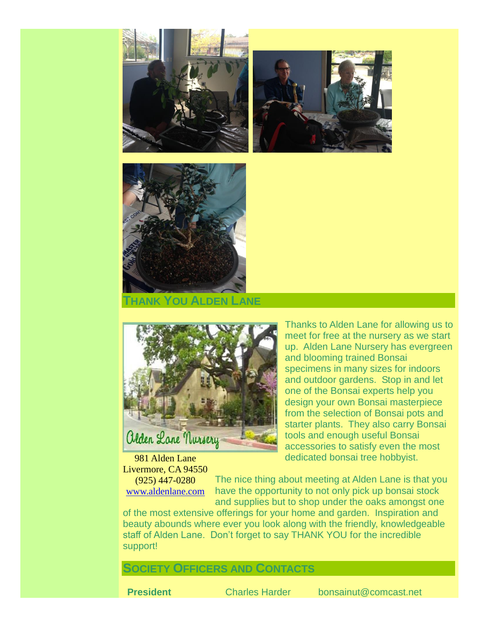





**THANK YOU ALDEN LANE**



981 Alden Lane Livermore, CA 94550 (925) 447-0280 [www.aldenlane.com](http://www.aldenlane.com/)

Thanks to Alden Lane for allowing us to meet for free at the nursery as we start up. Alden Lane Nursery has evergreen and blooming trained Bonsai specimens in many sizes for indoors and outdoor gardens. Stop in and let one of the Bonsai experts help you design your own Bonsai masterpiece from the selection of Bonsai pots and starter plants. They also carry Bonsai tools and enough useful Bonsai accessories to satisfy even the most dedicated bonsai tree hobbyist.

The nice thing about meeting at Alden Lane is that you have the opportunity to not only pick up bonsai stock and supplies but to shop under the oaks amongst one

of the most extensive offerings for your home and garden. Inspiration and beauty abounds where ever you look along with the friendly, knowledgeable staff of Alden Lane. Don't forget to say THANK YOU for the incredible support!

## **SOCIETY OFFICERS AND CONTACTS**

**President** Charles Harder bonsainut@comcast.net